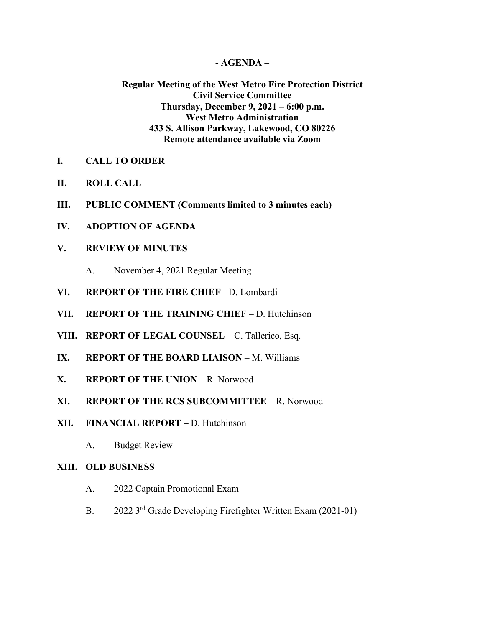#### **- AGENDA –**

## **Regular Meeting of the West Metro Fire Protection District Civil Service Committee Thursday, December 9, 2021 – 6:00 p.m. West Metro Administration 433 S. Allison Parkway, Lakewood, CO 80226 Remote attendance available via Zoom**

- **I. CALL TO ORDER**
- **II. ROLL CALL**
- **III. PUBLIC COMMENT (Comments limited to 3 minutes each)**
- **IV. ADOPTION OF AGENDA**
- **V. REVIEW OF MINUTES**
	- A. November 4, 2021 Regular Meeting
- **VI. REPORT OF THE FIRE CHIEF**  D. Lombardi
- **VII. REPORT OF THE TRAINING CHIEF** D. Hutchinson
- **VIII. REPORT OF LEGAL COUNSEL** C. Tallerico, Esq.
- **IX. REPORT OF THE BOARD LIAISON** M. Williams
- **X. REPORT OF THE UNION** R. Norwood
- **XI. REPORT OF THE RCS SUBCOMMITTEE** R. Norwood
- **XII. FINANCIAL REPORT –** D. Hutchinson
	- A. Budget Review

#### **XIII. OLD BUSINESS**

- A. 2022 Captain Promotional Exam
- B. 2022 3<sup>rd</sup> Grade Developing Firefighter Written Exam (2021-01)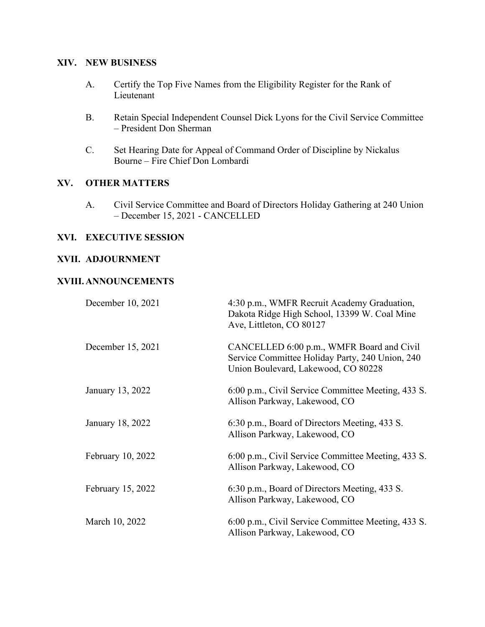# **XIV. NEW BUSINESS**

- A. Certify the Top Five Names from the Eligibility Register for the Rank of Lieutenant
- B. Retain Special Independent Counsel Dick Lyons for the Civil Service Committee – President Don Sherman
- C. Set Hearing Date for Appeal of Command Order of Discipline by Nickalus Bourne – Fire Chief Don Lombardi

## **XV. OTHER MATTERS**

A. Civil Service Committee and Board of Directors Holiday Gathering at 240 Union – December 15, 2021 - CANCELLED

## **XVI. EXECUTIVE SESSION**

## **XVII. ADJOURNMENT**

## **XVIII.ANNOUNCEMENTS**

| December 10, 2021 | 4:30 p.m., WMFR Recruit Academy Graduation,<br>Dakota Ridge High School, 13399 W. Coal Mine<br>Ave, Littleton, CO 80127             |
|-------------------|-------------------------------------------------------------------------------------------------------------------------------------|
| December 15, 2021 | CANCELLED 6:00 p.m., WMFR Board and Civil<br>Service Committee Holiday Party, 240 Union, 240<br>Union Boulevard, Lakewood, CO 80228 |
| January 13, 2022  | 6:00 p.m., Civil Service Committee Meeting, 433 S.<br>Allison Parkway, Lakewood, CO                                                 |
| January 18, 2022  | 6:30 p.m., Board of Directors Meeting, 433 S.<br>Allison Parkway, Lakewood, CO                                                      |
| February 10, 2022 | 6:00 p.m., Civil Service Committee Meeting, 433 S.<br>Allison Parkway, Lakewood, CO                                                 |
| February 15, 2022 | 6:30 p.m., Board of Directors Meeting, 433 S.<br>Allison Parkway, Lakewood, CO                                                      |
| March 10, 2022    | 6:00 p.m., Civil Service Committee Meeting, 433 S.<br>Allison Parkway, Lakewood, CO                                                 |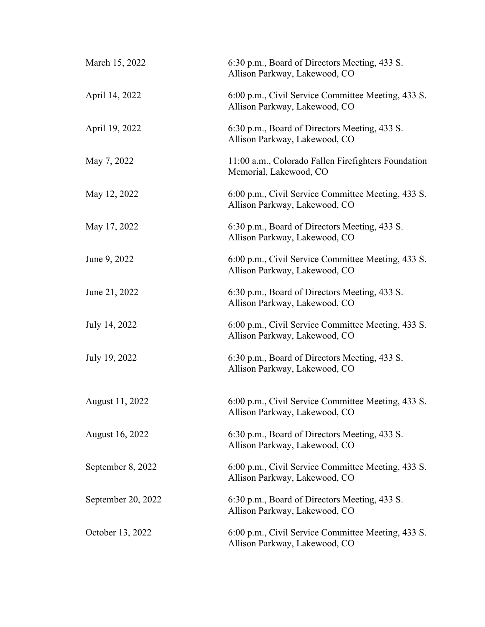| March 15, 2022     | 6:30 p.m., Board of Directors Meeting, 433 S.<br>Allison Parkway, Lakewood, CO      |
|--------------------|-------------------------------------------------------------------------------------|
| April 14, 2022     | 6:00 p.m., Civil Service Committee Meeting, 433 S.<br>Allison Parkway, Lakewood, CO |
| April 19, 2022     | 6:30 p.m., Board of Directors Meeting, 433 S.<br>Allison Parkway, Lakewood, CO      |
| May 7, 2022        | 11:00 a.m., Colorado Fallen Firefighters Foundation<br>Memorial, Lakewood, CO       |
| May 12, 2022       | 6:00 p.m., Civil Service Committee Meeting, 433 S.<br>Allison Parkway, Lakewood, CO |
| May 17, 2022       | 6:30 p.m., Board of Directors Meeting, 433 S.<br>Allison Parkway, Lakewood, CO      |
| June 9, 2022       | 6:00 p.m., Civil Service Committee Meeting, 433 S.<br>Allison Parkway, Lakewood, CO |
| June 21, 2022      | 6:30 p.m., Board of Directors Meeting, 433 S.<br>Allison Parkway, Lakewood, CO      |
| July 14, 2022      | 6:00 p.m., Civil Service Committee Meeting, 433 S.<br>Allison Parkway, Lakewood, CO |
| July 19, 2022      | 6:30 p.m., Board of Directors Meeting, 433 S.<br>Allison Parkway, Lakewood, CO      |
| August 11, 2022    | 6:00 p.m., Civil Service Committee Meeting, 433 S.<br>Allison Parkway, Lakewood, CO |
| August 16, 2022    | 6:30 p.m., Board of Directors Meeting, 433 S.<br>Allison Parkway, Lakewood, CO      |
| September 8, 2022  | 6:00 p.m., Civil Service Committee Meeting, 433 S.<br>Allison Parkway, Lakewood, CO |
| September 20, 2022 | 6:30 p.m., Board of Directors Meeting, 433 S.<br>Allison Parkway, Lakewood, CO      |
| October 13, 2022   | 6:00 p.m., Civil Service Committee Meeting, 433 S.<br>Allison Parkway, Lakewood, CO |